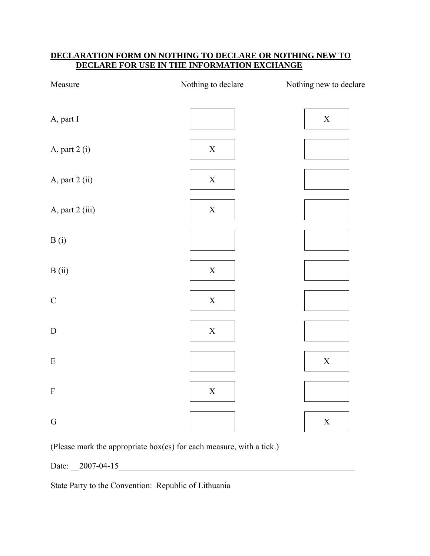### **DECLARATION FORM ON NOTHING TO DECLARE OR NOTHING NEW TO DECLARE FOR USE IN THE INFORMATION EXCHANGE**

| Measure         | Nothing to declare | Nothing new to declare |
|-----------------|--------------------|------------------------|
| A, part I       |                    | $\mathbf X$            |
| A, part 2 (i)   | $\mathbf X$        |                        |
| A, part 2 (ii)  | $\mathbf X$        |                        |
| A, part 2 (iii) | $\mathbf X$        |                        |
| B(i)            |                    |                        |
| B(ii)           | $\mathbf X$        |                        |
| $\mathsf C$     | $\mathbf X$        |                        |
| ${\bf D}$       | $\mathbf X$        |                        |
| ${\bf E}$       |                    | $\mathbf X$            |
| $\mathbf F$     | $\mathbf X$        |                        |
| ${\bf G}$       |                    | $\mathbf X$            |

(Please mark the appropriate box(es) for each measure, with a tick.)

Date: \_\_2007-04-15\_\_\_\_\_\_\_\_\_\_\_\_\_\_\_\_\_\_\_\_\_\_\_\_\_\_\_\_\_\_\_\_\_\_\_\_\_\_\_\_\_\_\_\_\_\_\_\_\_\_\_\_\_\_\_\_

State Party to the Convention: Republic of Lithuania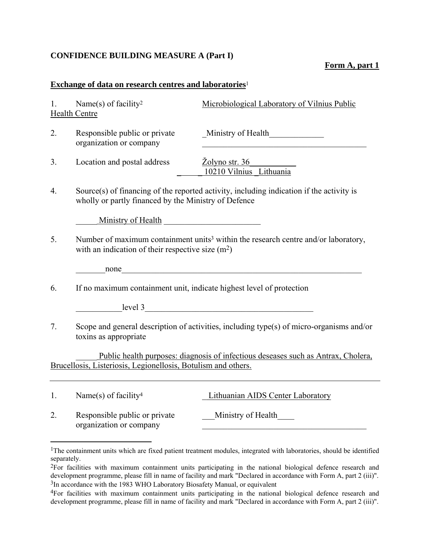### **CONFIDENCE BUILDING MEASURE A (Part I)**

### **Form A, part 1**

### **Exchange of data on research centres and laboratories**<sup>1</sup>

| 1.                                                                                                                                                 | Name(s) of facility <sup>2</sup><br><b>Health Centre</b>                                                                                             | Microbiological Laboratory of Vilnius Public       |  |
|----------------------------------------------------------------------------------------------------------------------------------------------------|------------------------------------------------------------------------------------------------------------------------------------------------------|----------------------------------------------------|--|
| $\overline{2}$ .                                                                                                                                   | Responsible public or private<br>organization or company                                                                                             | Ministry of Health                                 |  |
| 3.                                                                                                                                                 | Location and postal address                                                                                                                          | $\angle$ Zolyno str. 36<br>10210 Vilnius Lithuania |  |
| 4.                                                                                                                                                 | Source(s) of financing of the reported activity, including indication if the activity is<br>wholly or partly financed by the Ministry of Defence     |                                                    |  |
|                                                                                                                                                    | Ministry of Health                                                                                                                                   |                                                    |  |
| 5.                                                                                                                                                 | Number of maximum containment units <sup>3</sup> within the research centre and/or laboratory,<br>with an indication of their respective size $(m2)$ |                                                    |  |
|                                                                                                                                                    |                                                                                                                                                      |                                                    |  |
| 6.                                                                                                                                                 | If no maximum containment unit, indicate highest level of protection                                                                                 |                                                    |  |
|                                                                                                                                                    | $\qquad \qquad \text{level } 3$                                                                                                                      |                                                    |  |
| 7.                                                                                                                                                 | Scope and general description of activities, including type(s) of micro-organisms and/or<br>toxins as appropriate                                    |                                                    |  |
| Public health purposes: diagnosis of infectious deseases such as Antrax, Cholera,<br>Brucellosis, Listeriosis, Legionellosis, Botulism and others. |                                                                                                                                                      |                                                    |  |
| 1.                                                                                                                                                 | Name(s) of facility <sup>4</sup>                                                                                                                     | Lithuanian AIDS Center Laboratory                  |  |

2. Responsible public or private Ministry of Health organization or company

<u>.</u>

<sup>&</sup>lt;sup>1</sup>The containment units which are fixed patient treatment modules, integrated with laboratories, should be identified separately.

<sup>2</sup>For facilities with maximum containment units participating in the national biological defence research and development programme, please fill in name of facility and mark "Declared in accordance with Form A, part 2 (iii)". <sup>3</sup>In accordance with the 1983 WHO Laboratory Biosafety Manual, or equivalent

<sup>4</sup>For facilities with maximum containment units participating in the national biological defence research and development programme, please fill in name of facility and mark "Declared in accordance with Form A, part 2 (iii)".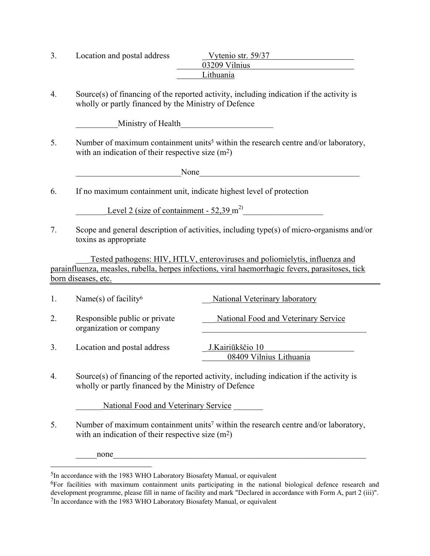| Location and postal address | Vytenio str. 59/37 |
|-----------------------------|--------------------|
|                             | 03209 Vilnius      |
|                             | Lithuania          |

4. Source(s) of financing of the reported activity, including indication if the activity is wholly or partly financed by the Ministry of Defence

Ministry of Health

5. Number of maximum containment units<sup>5</sup> within the research centre and/or laboratory, with an indication of their respective size  $(m^2)$ 

\_\_\_\_\_\_\_\_\_\_\_\_\_\_\_\_\_\_\_\_\_\_\_\_\_None\_\_\_\_\_\_\_\_\_\_\_\_\_\_\_\_\_\_\_\_\_\_\_\_\_\_\_\_\_\_\_\_\_\_\_\_\_\_

6. If no maximum containment unit, indicate highest level of protection

Level 2 (size of containment -  $52.39 \text{ m}^2$ )

7. Scope and general description of activities, including type(s) of micro-organisms and/or toxins as appropriate

Tested pathogens: HIV, HTLV, enteroviruses and poliomielytis, influenza and parainfluenza, measles, rubella, herpes infections, viral haemorrhagic fevers, parasitoses, tick born diseases, etc.

| 1. | Name(s) of facility <sup>6</sup>                         | National Veterinary laboratory              |
|----|----------------------------------------------------------|---------------------------------------------|
| 2. | Responsible public or private<br>organization or company | National Food and Veterinary Service        |
| 3. | Location and postal address                              | J.Kairiūkščio 10<br>08409 Vilnius Lithuania |

4. Source(s) of financing of the reported activity, including indication if the activity is wholly or partly financed by the Ministry of Defence

National Food and Veterinary Service

5. Number of maximum containment units<sup>7</sup> within the research centre and/or laboratory, with an indication of their respective size  $(m^2)$ 

none

<u>.</u>

<sup>5</sup>In accordance with the 1983 WHO Laboratory Biosafety Manual, or equivalent

<sup>6</sup>For facilities with maximum containment units participating in the national biological defence research and development programme, please fill in name of facility and mark "Declared in accordance with Form A, part 2 (iii)". 7In accordance with the 1983 WHO Laboratory Biosafety Manual, or equivalent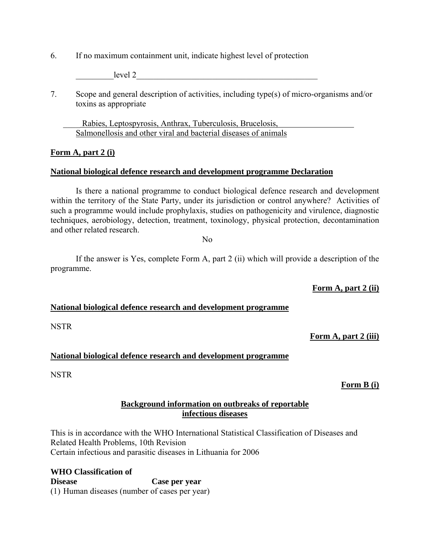6. If no maximum containment unit, indicate highest level of protection

devel 2

7. Scope and general description of activities, including type(s) of micro-organisms and/or toxins as appropriate

Rabies, Leptospyrosis, Anthrax, Tuberculosis, Brucelosis, Salmonellosis and other viral and bacterial diseases of animals

#### **Form A, part 2 (i)**

#### **National biological defence research and development programme Declaration**

Is there a national programme to conduct biological defence research and development within the territory of the State Party, under its jurisdiction or control anywhere? Activities of such a programme would include prophylaxis, studies on pathogenicity and virulence, diagnostic techniques, aerobiology, detection, treatment, toxinology, physical protection, decontamination and other related research.

No

If the answer is Yes, complete Form A, part 2 (ii) which will provide a description of the programme.

**Form A, part 2 (ii)**

#### **National biological defence research and development programme**

NSTR

#### **Form A, part 2 (iii)**

#### **National biological defence research and development programme**

**NSTR** 

#### **Form B (i)**

#### **Background information on outbreaks of reportable infectious diseases**

This is in accordance with the WHO International Statistical Classification of Diseases and Related Health Problems, 10th Revision Certain infectious and parasitic diseases in Lithuania for 2006

**WHO Classification of Disease Case per year**  (1) Human diseases (number of cases per year)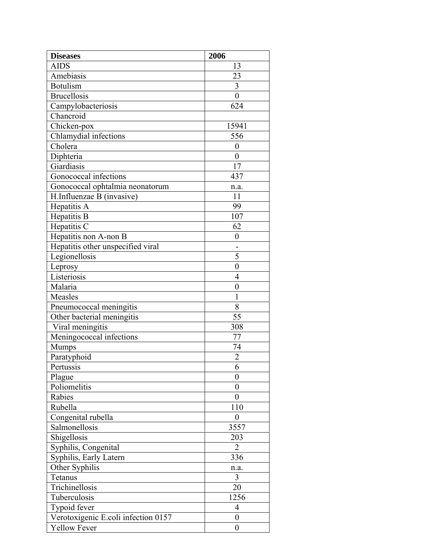| <b>Diseases</b>                     | 2006             |
|-------------------------------------|------------------|
| <b>AIDS</b>                         | 13               |
| Amebiasis                           | 23               |
| <b>Botulism</b>                     | 3                |
| <b>Brucellosis</b>                  | $\overline{0}$   |
| Campylobacteriosis                  | 624              |
| Chancroid                           |                  |
| Chicken-pox                         | 15941            |
| Chlamydial infections               | 556              |
| Cholera                             | $\boldsymbol{0}$ |
| Diphteria                           | $\overline{0}$   |
| Giardiasis                          | 17               |
| Gonococcal infections               | 437              |
| Gonococcal ophtalmia neonatorum     | n.a.             |
| H.Influenzae B (invasive)           | 11               |
| Hepatitis A                         | 99               |
| Hepatitis B                         | 107              |
| Hepatitis $\overline{C}$            | 62               |
| Hepatitis non A-non B               | 0                |
| Hepatitis other unspecified viral   |                  |
| Legionellosis                       | 5                |
| Leprosy                             | $\boldsymbol{0}$ |
| Listeriosis                         | $\overline{4}$   |
| Malaria                             | $\boldsymbol{0}$ |
| Measles                             | $\mathbf{1}$     |
| Pneumococcal meningitis             | 8                |
| Other bacterial meningitis          | 55               |
| Viral meningitis                    | 308              |
| Meningococcal infections            | 77               |
| Mumps                               | 74               |
| Paratyphoid                         | $\overline{c}$   |
| Pertussis                           | 6                |
| Plague                              | $\overline{0}$   |
| Poliomelitis                        | $\overline{0}$   |
| Rabies                              | 0                |
| Rubella                             | 110              |
| Congenital rubella                  | $\boldsymbol{0}$ |
| Salmonellosis                       | 3557             |
| Shigellosis                         | 203              |
| Syphilis, Congenital                | $\overline{2}$   |
| Syphilis, Early Latern              | 336              |
| Other Syphilis                      | n.a.             |
| Tetanus                             | 3                |
| Trichinellosis                      | 20               |
| Tuberculosis                        | 1256             |
| Typoid fever                        | 4                |
| Verotoxigenic E.coli infection 0157 | $\boldsymbol{0}$ |
| <b>Yellow Fever</b>                 | $\boldsymbol{0}$ |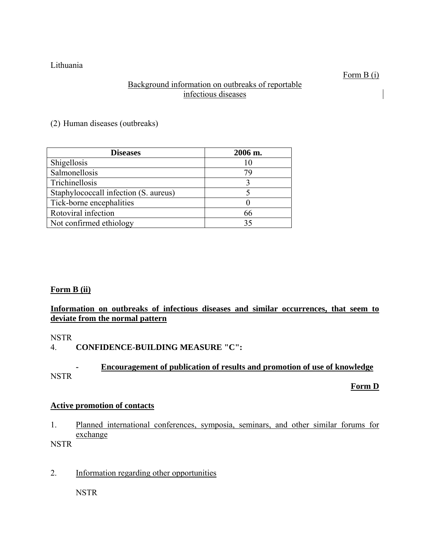Lithuania

# Background information on outbreaks of reportable infectious diseases

(2) Human diseases (outbreaks)

| <b>Diseases</b>                       | 2006 m. |
|---------------------------------------|---------|
| Shigellosis                           |         |
| Salmonellosis                         |         |
| Trichinellosis                        |         |
| Staphylococcall infection (S. aureus) |         |
| Tick-borne encephalities              |         |
| Rotoviral infection                   | 66      |
| Not confirmed ethiology               |         |

# **Form B (ii)**

# **Information on outbreaks of infectious diseases and similar occurrences, that seem to deviate from the normal pattern**

NSTR

# 4. **CONFIDENCE-BUILDING MEASURE "C":**

# **- Encouragement of publication of results and promotion of use of knowledge** NSTR

**Form D**

# **Active promotion of contacts**

1. Planned international conferences, symposia, seminars, and other similar forums for exchange

NSTR

2. Information regarding other opportunities

NSTR

Form B (i)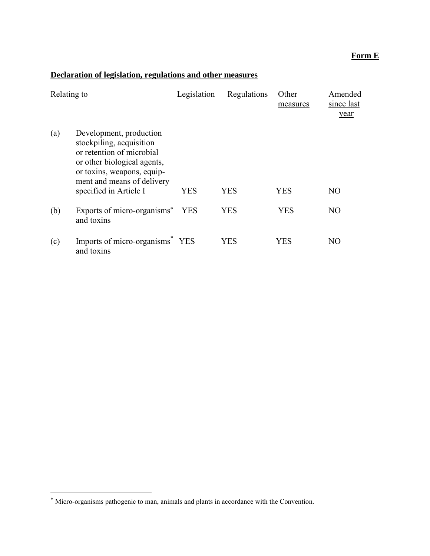# **Form E**

# **Declaration of legislation, regulations and other measures**

| Relating to |                                                                                                                                                                                                       | Legislation | Regulations | Other<br>measures | Amended<br>since last<br>year |
|-------------|-------------------------------------------------------------------------------------------------------------------------------------------------------------------------------------------------------|-------------|-------------|-------------------|-------------------------------|
| (a)         | Development, production<br>stockpiling, acquisition<br>or retention of microbial<br>or other biological agents,<br>or toxins, weapons, equip-<br>ment and means of delivery<br>specified in Article I | YES         | <b>YES</b>  | <b>YES</b>        | N <sub>O</sub>                |
| (b)         | Exports of micro-organisms* YES<br>and toxins                                                                                                                                                         |             | <b>YES</b>  | <b>YES</b>        | NO                            |
| (c)         | Imports of micro-organisms <sup>*</sup><br>and toxins                                                                                                                                                 | <b>YES</b>  | YES         | YES               | NO                            |

1

<sup>\*</sup> Micro-organisms pathogenic to man, animals and plants in accordance with the Convention.